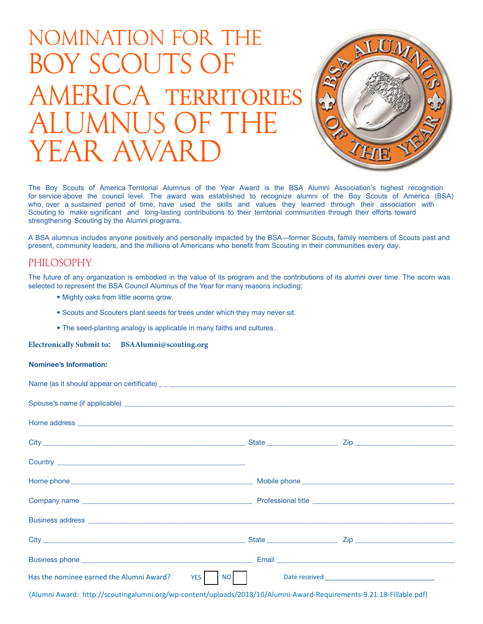# Nomination for the Boy Scouts of AMERICA TERRITORIES ALUMNUS. YEAR AWAR



The Boy Scouts of America Territorial Alumnus of the Year Award is the BSA Alumni Association's highest recognition for service above the council level. The award was established to recognize alumni of the Boy Scouts of America (BSA) who, over a sustained period of time, have used the skills and values they learned through their association with Scouting to make significant and long-lasting contributions to their territorial communities through their efforts toward strengthening Scouting by the Alumni programs.

present, community leaders, and the millions of Americans who benefit from Scouting in their communities every day. A BSA alumnus includes anyone positively and personally impacted by the BSA—former Scouts, family members of Scouts past and

# Philosophy

The future of any organization is embodied in the value of its program and the contributions of its alumni over time. The acorn was selected to represent the BSA Council Alumnus of the Year for many reasons including:

- Mighty oaks from little acorns grow.
- Scouts and Scouters plant seeds for trees under which they may never sit.
- The seed-planting analogy is applicable in many faiths and cultures.

**Electronically Submit to: BSAAlumni@scouting.org**

## **Nominee's Information:**

| Home address <b>example and the control of the control of the control of the control of the control of the control of the control of the control of the control of the control of the control of the control of the control of t</b>                                                                                                                                                                                                                      |  |  |  |
|-----------------------------------------------------------------------------------------------------------------------------------------------------------------------------------------------------------------------------------------------------------------------------------------------------------------------------------------------------------------------------------------------------------------------------------------------------------|--|--|--|
|                                                                                                                                                                                                                                                                                                                                                                                                                                                           |  |  |  |
|                                                                                                                                                                                                                                                                                                                                                                                                                                                           |  |  |  |
|                                                                                                                                                                                                                                                                                                                                                                                                                                                           |  |  |  |
|                                                                                                                                                                                                                                                                                                                                                                                                                                                           |  |  |  |
|                                                                                                                                                                                                                                                                                                                                                                                                                                                           |  |  |  |
|                                                                                                                                                                                                                                                                                                                                                                                                                                                           |  |  |  |
|                                                                                                                                                                                                                                                                                                                                                                                                                                                           |  |  |  |
| Has the nominee earned the Alumni Award? YES   NO   Date received __________________________________                                                                                                                                                                                                                                                                                                                                                      |  |  |  |
| $\mathcal{L}(\mathbf{r}) = \mathcal{L}(\mathbf{r}) = \mathcal{L}(\mathbf{r}) = \mathcal{L}(\mathbf{r}) = \mathcal{L}(\mathbf{r}) = \mathcal{L}(\mathbf{r}) = \mathcal{L}(\mathbf{r}) = \mathcal{L}(\mathbf{r}) = \mathcal{L}(\mathbf{r}) = \mathcal{L}(\mathbf{r}) = \mathcal{L}(\mathbf{r}) = \mathcal{L}(\mathbf{r}) = \mathcal{L}(\mathbf{r}) = \mathcal{L}(\mathbf{r}) = \mathcal{L}(\mathbf{r}) = \mathcal{L}(\mathbf{r}) = \mathcal{L}(\mathbf{r})$ |  |  |  |

(Alumni Award: http://scoutingalumni.org/wp-content/uploads/2018/10/Alumni-Award-Requirements-9.21.18-Fillable.pdf)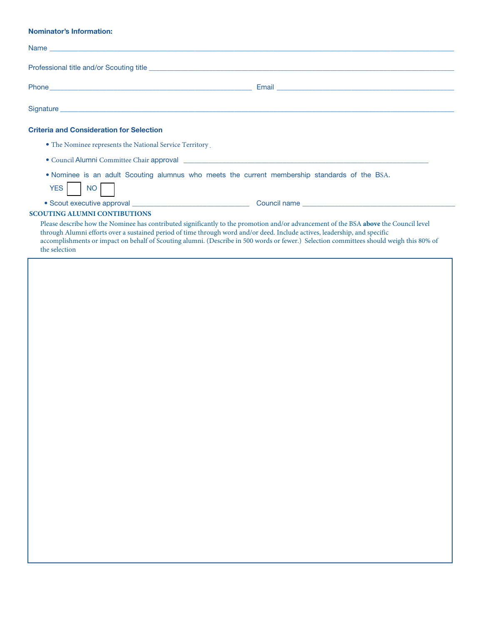### **Nominator's Information:**

| <b>Criteria and Consideration for Selection</b>                                                                                                                                                                                                                                                                                                                                                                                |  |
|--------------------------------------------------------------------------------------------------------------------------------------------------------------------------------------------------------------------------------------------------------------------------------------------------------------------------------------------------------------------------------------------------------------------------------|--|
| • The Nominee represents the National Service Territory                                                                                                                                                                                                                                                                                                                                                                        |  |
| • Council Alumni Committee Chair approval <u>example and the contract of the contract of the contract of the contract of the contract of the contract of the contract of the contract of the contract of the contract of the con</u>                                                                                                                                                                                           |  |
| . Nominee is an adult Scouting alumnus who meets the current membership standards of the BSA.<br>YES NO                                                                                                                                                                                                                                                                                                                        |  |
|                                                                                                                                                                                                                                                                                                                                                                                                                                |  |
| <b>SCOUTING ALUMNI CONTIBUTIONS</b>                                                                                                                                                                                                                                                                                                                                                                                            |  |
| Please describe how the Nominee has contributed significantly to the promotion and/or advancement of the BSA above the Council level<br>through Alumni efforts over a sustained period of time through word and/or deed. Include actives, leadership, and specific<br>accomplishments or impact on behalf of Scouting alumni. (Describe in 500 words or fewer.) Selection committees should weigh this 80% of<br>the selection |  |